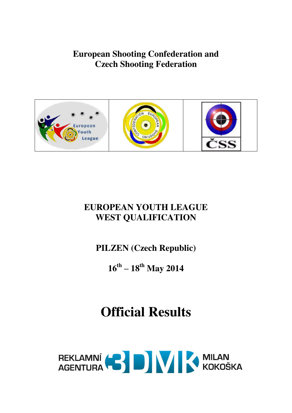**European Shooting Confederation and Czech Shooting Federation** 





### **EUROPEAN YOUTH LEAGUE WEST QUALIFICATION**

**PILZEN (Czech Republic)** 

**16th – 18th May 2014** 

### **Official Results**

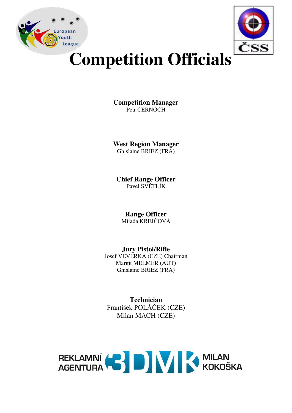



# **Competition Officials**

**Competition Manager**  Petr ČERNOCH

**West Region Manager**  Ghislaine BRIEZ (FRA)

**Chief Range Officer**  Pavel SVĚTLÍK

**Range Officer**  Milada KREJČOVÁ

**Jury Pistol/Rifle**  Josef VEVERKA (CZE) Chairman Margit MELMER (AUT) Ghislaine BRIEZ (FRA)

**Technician**  František POLÁČEK (CZE) Milan MACH (CZE)

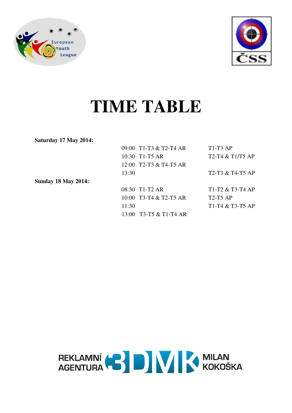



## **TIME TABLE**

**Saturday 17 May 2014:** 

|                     | 09:00 T1-T3 & T2-T4 AR   | $T1-T3 AP$         |
|---------------------|--------------------------|--------------------|
|                     | 10:30 T1-T5 AR           | $T2-T4 & T1/T5 AP$ |
|                     | 12:00 T2-T3 & T4-T5 AR   |                    |
|                     | 13:30                    | T2-T3 & T4-T5 AP   |
| Sunday 18 May 2014: |                          |                    |
|                     | 08:30 T1-T2 AR           | $T1-T2 & T3-T4 AP$ |
|                     | $10:00$ T3-T4 & T2-T5 AR | $T2-T5 AP$         |
|                     | 11:30                    | $T1-T4 & T3-T5 AP$ |
|                     | 13:00 T3-T5 & T1-T4 AR   |                    |
|                     |                          |                    |

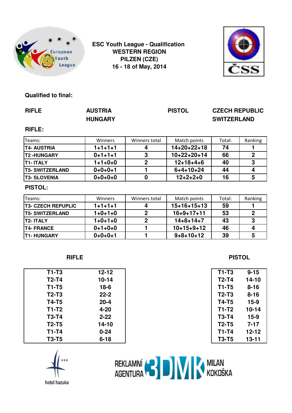

**ESC Youth League - Qualification WESTERN REGION PILZEN (CZE) 16 - 18 of May, 2014**



#### **Qualified to final:**

| <b>RIFLE</b>              | <b>AUSTRIA</b><br><b>HUNGARY</b> |                | <b>PISTOL</b>       | <b>CZECH REPUBLIC</b><br><b>SWITZERLAND</b> |                         |  |
|---------------------------|----------------------------------|----------------|---------------------|---------------------------------------------|-------------------------|--|
| <b>RIFLE:</b>             |                                  |                |                     |                                             |                         |  |
| Teams:                    | Winners                          | Winners total  | Match points        | Total:                                      | Ranking                 |  |
| <b>T4- AUSTRIA</b>        | $1+1+1+1$                        | 4              | $14 + 20 + 22 + 18$ | 74                                          |                         |  |
| <b>T2-HUNGARY</b>         | $0+1+1+1$                        | 3              | 10+22+20+14         | 66                                          | $\overline{2}$          |  |
| <b>T1-ITALY</b>           | $1+1+0+0$                        | $\mathbf 2$    | $12+18+4+6$         | 40                                          | 3                       |  |
| <b>T5- SWITZERLAND</b>    | $0+0+0+1$                        |                | $6 + 4 + 10 + 24$   | 44                                          | 4                       |  |
| <b>T3- SLOVENIA</b>       | $0+0+0+0$                        | $\bf{0}$       | $12 + 2 + 2 + 0$    | 16                                          | $5\phantom{1}$          |  |
| <b>PISTOL:</b>            |                                  |                |                     |                                             |                         |  |
| Teams:                    | Winners                          | Winners total  | Match points        | Total:                                      | Ranking                 |  |
| <b>T3- CZECH REPUPLIC</b> | $1 + 1 + 1 + 1$                  | 4              | $15+16+15+13$       | 59                                          |                         |  |
| <b>T5- SWITZERLAND</b>    | $1+0+1+0$                        | $\overline{2}$ | $16+9+17+11$        | 53                                          | $\overline{2}$          |  |
| <b>T2-ITALY</b>           | $1+0+1+0$                        | $\overline{2}$ | $14 + 8 + 14 + 7$   | 43                                          | 3                       |  |
| <b>T4- FRANCE</b>         | $0+1+0+0$                        |                | $10+15+9+12$        | 46                                          | $\overline{\mathbf{4}}$ |  |
| <b>T1-HUNGARY</b>         | $0+0+0+1$                        |                | $9 + 8 + 10 + 12$   | 39                                          | 5                       |  |

| $T1-T3$      | $12 - 12$ | $T1-T3$      | $9 - 15$  |
|--------------|-----------|--------------|-----------|
| $T2-T4$      | $10 - 14$ | $T2-T4$      | 14-10     |
| $T1-T5$      | $18-6$    | $T1-T5$      | $8 - 16$  |
| $T2-T3$      | $22 - 2$  | $T2-T3$      | $8 - 16$  |
| <b>T4-T5</b> | $20 - 4$  | <b>T4-T5</b> | $15 - 9$  |
| $T1-T2$      | $4 - 20$  | T1-T2        | 10-14     |
| <b>T3-T4</b> | $2 - 22$  | <b>T3-T4</b> | $15 - 9$  |
| $T2-T5$      | $14 - 10$ | $T2-T5$      | $7 - 17$  |
| $T1-T4$      | $0 - 24$  | $T1-T4$      | 12-12     |
| <b>T3-T5</b> | $6 - 18$  | <b>T3-T5</b> | $13 - 11$ |

**RIFLE PISTOL**

| T1-T3        | 9-15     |
|--------------|----------|
| T2-T4        | 14-10    |
| T1-T5        | 8-16     |
| <b>T2-T3</b> | $8 - 16$ |
| T4-T5        | $15-9$   |
| T1-T2        | 10-14    |
| <b>T3-T4</b> | $15 - 9$ |
| <b>T2-T5</b> | $7 - 17$ |
| T1-T4        | 12-12    |
| <b>T3-T5</b> | 13-11    |

hotel hazuka

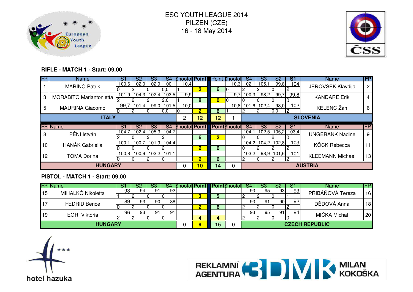



#### **RIFLE - MATCH 1 - Start: 09.00**

| <b>FP</b>       | <b>Name</b>                    | S1    | S2            | S3             | S4    | <b>Bhootol Point</b> |                |                         | <b>Point Bhootof</b> | S4    | S3              | S2         | S1                | <b>Name</b>             | FP        |
|-----------------|--------------------------------|-------|---------------|----------------|-------|----------------------|----------------|-------------------------|----------------------|-------|-----------------|------------|-------------------|-------------------------|-----------|
|                 | <b>MARINO Patrik</b>           | 100,6 | 102.0         | 102,9          | 100.  | 10.41                |                |                         | 10,3                 | 102,1 | 105,1           | 99,8       | 104               | JEROVŠEK Klavdija       | 2         |
|                 |                                |       |               |                | 0,0   |                      | $\overline{2}$ | 6                       |                      |       |                 |            |                   |                         |           |
| 3               | <b>MORABITO Mariantonietta</b> |       | $101,9$ 104,3 | 102,4          | 103,5 | 9,9                  |                |                         | 9,7                  | 100,3 | 98,2            | 99,7       | 99,8              | <b>KANDARE Erik</b>     | 4         |
|                 |                                |       |               |                | 2,0   |                      | 8              | 0                       |                      |       |                 |            |                   |                         |           |
| 5               | <b>MAURINA Giacomo</b>         | 99,7  | 101,4         | 99,0           | 101,5 | 10,0                 |                |                         | 10,8                 | 101,6 | 102,4           | 98,0       | 102               | KELENC Žan              | -6        |
|                 |                                |       |               |                | 0,0   |                      | D.             | 6                       |                      |       |                 | 0,0        | 12                |                         |           |
|                 | <b>ITALY</b>                   |       | 2             | 12             | 12    |                      |                |                         |                      |       | <b>SLOVENIA</b> |            |                   |                         |           |
|                 | <b>FP</b> Name                 | S1    | S2            | S <sub>3</sub> | S4    | <b>Shootof Point</b> |                |                         | <b>Point</b> Bhootof | S4    | S3              | S2         | S <sub>1</sub>    | Name                    | <b>FP</b> |
| 8               | PÉNI István                    | 104.7 | 102.4         | 105,3          | 104,7 |                      |                |                         |                      | 104,1 |                 |            | 102,5 105,2 103,4 | <b>UNGERANK Nadine</b>  | 9         |
|                 |                                |       |               |                |       |                      | 6              | $\overline{\mathbf{2}}$ |                      |       |                 |            |                   |                         |           |
| 10 <sup>1</sup> | <b>HANÁK Gabriella</b>         | 100,1 | 100,7         | 101,9          | 104,4 |                      |                |                         |                      | 104,2 | 104,2 102,8     |            | 103               | <b>KÖCK Rebecca</b>     | 11        |
|                 |                                |       |               |                |       |                      | $\overline{2}$ | 6                       |                      |       |                 |            |                   |                         |           |
| 12              | <b>TOMA Dorina</b>             | 100,8 | 100,9         | 102,2          | 101,1 |                      |                |                         |                      | 103,2 |                 | 98,9 101,6 | 101               | <b>KLEEMANN Michael</b> | 13        |
|                 |                                |       |               |                |       |                      | $\overline{2}$ | 6                       |                      |       |                 |            |                   |                         |           |
|                 | <b>HUNGARY</b>                 |       | 0             | 10             | 14    |                      |                |                         |                      |       | <b>AUSTRIA</b>  |            |                   |                         |           |

#### **PISTOL - MATCH 1 - Start: 09.00**

|                | <b>FPIName</b>      |                 |                 |                 |    |  | Bhooto <b>il Point I</b> |    | IPointbhootof |    |       |    |     | <b>Name</b>           | IFP             |
|----------------|---------------------|-----------------|-----------------|-----------------|----|--|--------------------------|----|---------------|----|-------|----|-----|-----------------------|-----------------|
| 15             | MIHALKÓ Nikoletta   | 93              | 94              | 91              | 92 |  |                          |    |               | 93 | -95 I | 93 | 93  | PŘIBÁŇOVÁ Tereza      | 16              |
|                |                     |                 |                 |                 |    |  |                          |    |               |    |       |    |     |                       |                 |
| $\overline{1}$ | <b>FEDRID Bence</b> | 89              | 93 <sub>1</sub> | 90 <sub>l</sub> | 88 |  |                          |    |               | 93 | 91    | 90 | 92  | DĚDOVÁ Anna           | 18              |
|                |                     |                 |                 |                 |    |  | n                        |    |               |    |       |    |     |                       |                 |
| 19             | EGRI Viktória       | 96 <sub>1</sub> | 931             | 91              | 91 |  |                          |    |               | 93 | 951   | 91 | 94. | MIČKA Michal          | 20 <sup>1</sup> |
|                |                     |                 |                 | טו              |    |  |                          |    |               |    |       |    |     |                       |                 |
|                | <b>HUNGARY</b>      |                 |                 |                 |    |  |                          | 15 |               |    |       |    |     | <b>CZECH REPUBLIC</b> |                 |



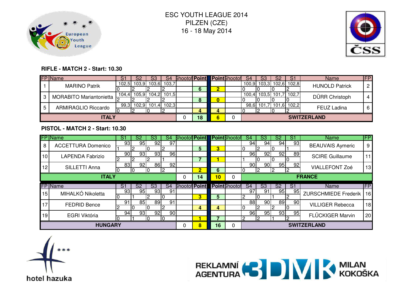



#### **RIFLE - MATCH 2 - Start: 10.30**

|    | <b>FP</b> Name             | ১ | S2          |       | S4            |  | <b>Shootof Point Point Shootof</b> |   | -S4 | S3 | S.                      | Name                  | FP <sup>1</sup> |
|----|----------------------------|---|-------------|-------|---------------|--|------------------------------------|---|-----|----|-------------------------|-----------------------|-----------------|
|    | <b>MARINO Patrik</b>       |   | 102,5 103,9 |       | 103,6 103,7   |  |                                    |   |     |    | 100,9 103,3 102,6 102,8 | <b>HUNOLD Patrick</b> | 0               |
|    |                            |   |             |       |               |  |                                    |   |     |    |                         |                       |                 |
|    | MORABITO Mariantonietta    |   | 104,4 105,9 |       | $104,2$ 101,5 |  |                                    |   |     |    | 100,4 103,5 101,7 102,7 | DÜRR Christoph        | 4               |
|    |                            |   |             |       |               |  |                                    | 0 |     |    |                         |                       |                 |
| -5 | <b>ARMIRAGLIO Riccardo</b> |   | 99,3 102,9  | 101.4 | 102.3         |  |                                    |   |     |    | 98,6 101,7 101,6 102,2  | <b>FEUZ Ladina</b>    | 6               |
|    |                            |   |             |       |               |  |                                    |   |     |    |                         |                       |                 |
|    | <b>ITALY</b>               |   |             |       |               |  | 18                                 | 6 |     |    |                         | <b>SWITZERLAND</b>    |                 |

#### **PISTOL - MATCH 2 - Start: 10.30**

|    | <b>FP</b> Name                               | S1              | S2                     | S3                     | S4              | <b>Bhootof Point</b> |                         |   | l <b>Point</b> Bhootofl | S4              | S3                     | S2 | S1              | <b>Name</b>                 | <b>IFP</b>      |
|----|----------------------------------------------|-----------------|------------------------|------------------------|-----------------|----------------------|-------------------------|---|-------------------------|-----------------|------------------------|----|-----------------|-----------------------------|-----------------|
| 8  | <b>ACCETTURA Domenico</b>                    | 93 <sub>1</sub> | 95                     | 92                     | 97              |                      |                         |   |                         | 94              | 94                     | 94 | 93              | <b>BEAUVAIS Aymeric</b>     | 9               |
|    |                                              |                 |                        |                        |                 |                      | 5.                      | 3 |                         |                 |                        |    |                 |                             |                 |
| 10 | <b>LAPENDA Fabrizio</b>                      | 90              | 93                     | 93                     | 96              |                      |                         |   |                         | 96              | 92                     | 92 | 89              | <b>SCIRE Guillaume</b>      | 11              |
|    |                                              |                 |                        |                        |                 |                      |                         |   |                         |                 |                        | IO |                 |                             |                 |
| 12 | SILLETTI Anna                                | 83              | 92                     | 86                     | 92 <sub>l</sub> |                      |                         |   |                         | 90              | 90                     | 95 | 92              | <b>VIALLEFONT Zoé</b>       | 13              |
|    |                                              |                 |                        | D                      | 6               |                      |                         |   |                         |                 |                        |    |                 |                             |                 |
|    | <b>ITALY</b>                                 |                 |                        |                        | 0               | 14                   | 10 <sub>1</sub>         | 0 |                         |                 |                        |    | <b>FRANCE</b>   |                             |                 |
|    | <b>FP</b> Name                               | $\overline{S1}$ | $\overline{\text{S2}}$ | $\overline{\text{S3}}$ | S <sub>4</sub>  | <b>Shootof Point</b> |                         |   | <b>Point</b> Bhootof    | S <sub>4</sub>  | $\overline{\text{S3}}$ | S2 | $\overline{S1}$ | Name                        | <b>IFP</b>      |
| 15 | MIHALKÓ Nikoletta                            | 93              | 95                     | 93 <sub>1</sub>        | 91              |                      |                         |   |                         | 97              | 91                     | 95 | 95              | <b>ZURSCHMIEDE Frederik</b> | 16              |
|    |                                              |                 |                        |                        |                 |                      | $\overline{\mathbf{3}}$ | 5 |                         |                 |                        |    |                 |                             |                 |
| 17 |                                              | 91              | 85                     | 89                     | 91              |                      |                         |   |                         | $\overline{88}$ | 90                     | 89 | 90              | <b>VILLIGER Rebecca</b>     | 18              |
|    | <b>FEDRID Bence</b><br>Ю                     |                 |                        |                        |                 |                      | 4                       | 4 |                         |                 |                        |    |                 |                             |                 |
| 19 | 92<br>94<br>93 <sub>l</sub><br>EGRI Viktória |                 |                        |                        |                 | 90                   |                         |   |                         | 96              | 95                     | 93 | 95              | <b>FLÜCKIGER Marvin</b>     | 20 <sub>l</sub> |
|    | 10                                           |                 |                        |                        |                 |                      |                         |   |                         |                 |                        |    | 2               |                             |                 |
|    | <b>HUNGARY</b>                               |                 | 0                      | 8                      | 16              |                      | <b>SWITZERLAND</b>      |   |                         |                 |                        |    |                 |                             |                 |



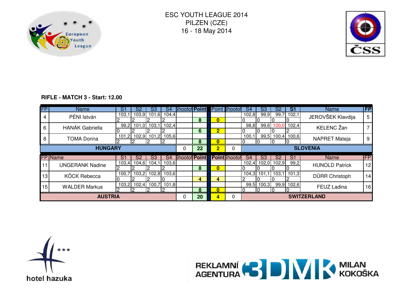



#### **RIFLE - MATCH 3 - Start: 12.00**

| <b>FP</b>        | <b>Name</b>                      | S1             | S2                 | S3          | S4           | <b>Shootof Point</b> |    |                | Point Shootof        | S4             | S3    | S2    | S1             | <b>Name</b>           | $\overline{FP}$ |
|------------------|----------------------------------|----------------|--------------------|-------------|--------------|----------------------|----|----------------|----------------------|----------------|-------|-------|----------------|-----------------------|-----------------|
| 4                | PÉNI István                      | 103,1          | 103.9 <sup>°</sup> | 101,6       | 104,4        |                      |    |                |                      | 102,8          | 99,9  | 99,7  | 102,1          | JEROVŠEK Klavdija     | 5               |
|                  |                                  |                |                    |             |              |                      | 8  | $\bf{0}$       |                      |                |       |       |                |                       |                 |
| 6                | <b>HANÁK Gabriella</b>           | 99,2           |                    | 101,0 103,1 | 102,4        |                      |    |                |                      | 98,8           | 99,6  | 100.0 | 102,4          | <b>KELENC</b> Žan     |                 |
|                  |                                  |                |                    |             |              |                      | 6  | $\overline{2}$ |                      |                |       |       |                |                       |                 |
| 8                | <b>TOMA Dorina</b>               | 101,2          | 102,9              | 101,2       | 105,6        |                      |    |                |                      | 100,1          | 99,5  | 100,4 | 100,6          | NAPRET Mateja         | 9               |
|                  |                                  |                |                    | 8           | $\mathbf{0}$ |                      |    |                |                      |                |       |       |                |                       |                 |
|                  | <b>HUNGARY</b>                   |                |                    |             |              | 0                    | 22 | $\overline{2}$ |                      |                |       |       |                | <b>SLOVENIA</b>       |                 |
|                  | <b>FP</b> Name                   | S <sub>1</sub> | S2                 | S3          | S4           | <b>Shootof Point</b> |    |                | <b>Point</b> Bhootof | S <sub>4</sub> | S3    | S2    | S <sub>1</sub> | <b>Name</b>           | <b>IFP</b>      |
| 11               | <b>UNGERANK Nadine</b>           | 103,4          | 104,6              | 104,1       | 103,6        |                      |    |                |                      | 102,4          | 102,0 | 102,9 | 99,2           | <b>HUNOLD Patrick</b> | 12              |
|                  |                                  |                |                    |             |              |                      | 8  | $\bf{0}$       |                      |                |       |       |                |                       |                 |
|                  | 103,2<br>102,8<br>103,6<br>100,7 |                |                    |             |              |                      |    |                |                      | 104,3          | 101   | 103,1 | 101,3          |                       |                 |
| 13               |                                  |                |                    |             |              |                      |    |                |                      |                |       |       |                |                       |                 |
|                  | KÖCK Rebecca                     |                |                    |             |              |                      | 4  | 4              |                      |                |       |       |                | DÜRR Christoph        | 14              |
|                  |                                  | 103,2          | 102,4              | 100,7       | 101,8        |                      |    |                |                      | 99,5           | 100,3 |       | 99,9 102,6     |                       |                 |
| 15 <sub>15</sub> | <b>WALDER Markus</b>             |                |                    |             |              |                      | 8  | $\bf{0}$       |                      | 10             |       | 10    | 10             | FEUZ Ladina           | 16              |



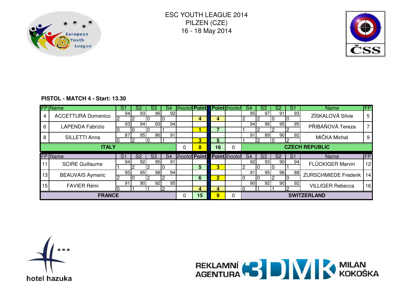



#### **PISTOL - MATCH 4 - Start: 13.30**

|    | <b>FP</b> Name            | S1 | S2              | S3       | S4              | <b>Bhootof Point</b> |   |                         | <b>IPoint</b> Bhootofl | S4              | S3                     | S2              | S1              | <b>Name</b>                 | FP         |
|----|---------------------------|----|-----------------|----------|-----------------|----------------------|---|-------------------------|------------------------|-----------------|------------------------|-----------------|-----------------|-----------------------------|------------|
|    | <b>ACCETTURA Domenico</b> | 94 | 93              | 96       | 92 <sub>l</sub> |                      |   | 4                       |                        | 95              | 97                     | 91              | 93              | ZÍSKALOVÁ Silvie            | 5          |
|    |                           | 93 | 94 l            | 93       | 94              |                      | 4 |                         |                        | 94 <sub>l</sub> | 96                     | 95              | 95              |                             |            |
| 6  | <b>LAPENDA Fabrizio</b>   |    |                 | ΙU       |                 |                      |   |                         |                        |                 |                        |                 |                 | PŘIBÁŇOVÁ Tereza            |            |
| 8  | SILLETTI Anna             | 87 | 95              | 86<br>l0 | 911             |                      |   |                         |                        | 91 <sub>1</sub> | 89                     | 90 <sub>1</sub> | 92              | MIČKA Michal                | 9          |
|    |                           |    |                 | 3        | 5               |                      |   |                         | I۵                     | l Q             |                        |                 |                 |                             |            |
|    | <b>ITALY</b>              |    |                 |          |                 | 0                    | 8 | 16                      |                        |                 |                        |                 |                 | <b>CZECH REPUBLIC</b>       |            |
|    |                           |    |                 |          |                 |                      |   |                         |                        |                 |                        |                 |                 |                             |            |
|    | FP Name                   | S1 | S <sub>2</sub>  | S3       | S4              | <b>Shootof Point</b> |   |                         | <b>Point</b> Bhootof   | S <sub>4</sub>  | $\overline{\text{S3}}$ | S <sub>2</sub>  | $\overline{S1}$ | <b>Name</b>                 | <b>IFP</b> |
|    |                           | 94 | 92 <sub>1</sub> | 95       | 91              |                      |   |                         |                        | 92              | 93 <sub>l</sub>        | 90 <sup>°</sup> | 94              |                             |            |
| 11 | <b>SCIRE Guillaume</b>    |    |                 |          |                 |                      | 5 | 3                       |                        |                 |                        |                 |                 | FLÜCKIGER Marvin            | 12         |
|    |                           | 95 | 95              | 98       | 94              |                      |   |                         |                        | 91              | 95                     | 96              | 88              |                             |            |
| 13 | <b>BEAUVAIS Aymeric</b>   |    |                 |          |                 |                      | 6 | $\overline{\mathbf{2}}$ |                        |                 |                        | l2              |                 | <b>ZURSCHMIEDE Frederik</b> | 14         |
|    |                           | 91 | 90I             | 92       | 95              |                      |   |                         |                        | 90              | 92 <sub>l</sub>        | 90 <sub>1</sub> | 92              |                             |            |
| 15 | <b>FAVIER Rémi</b>        |    |                 |          | റ               |                      | 4 | 4                       |                        |                 |                        |                 | C               | <b>VILLIGER Rebecca</b>     | 16         |



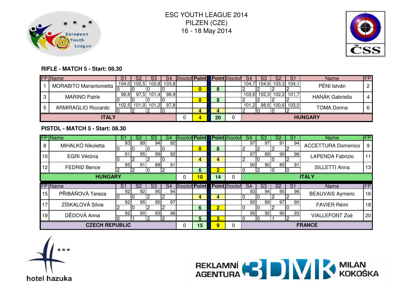



#### **RIFLE - MATCH 5 - Start: 08.30**

|    | <b>FP</b> Name             | S1   | S2            | S3     | S4          |  | <b>Shootof Point Point Shootof</b> |    | S4    | S3 | S2 | S1                | Name                   | FP. |
|----|----------------------------|------|---------------|--------|-------------|--|------------------------------------|----|-------|----|----|-------------------|------------------------|-----|
|    | MORABITO Mariantonietta    |      | 104,0 102,5   |        | 102,8 103,8 |  | 0                                  |    | 104,7 |    |    | 104,9 103,3 104,1 | PÉNI István            | ◠   |
| -3 | <b>MARINO Patrik</b>       | 99,8 | 97.5I         | 101.41 | 98,9        |  | 0                                  |    | 103,6 |    |    | 102,3 102,2 101,7 | <b>HANÁK Gabriella</b> | 4   |
| -5 | <b>ARMIRAGLIO Riccardo</b> |      | $102,5$ 101,9 | 101.2  | 97.8        |  |                                    |    | 101.  |    |    | 98,6 100,6 103,0  | <b>TOMA Dorina</b>     | 6   |
|    | <b>ITALY</b>               |      |               |        |             |  |                                    | 20 |       |    |    |                   | <b>HUNGARY</b>         |     |

#### **PISTOL - MATCH 5 - Start: 08.30**

|    | <b>FP</b> Name                             | S1             | S2              | S3             | S4                      | <b>Bhootof Point</b> |               |                         | <b>Point</b> Bhootof | S4                       | S3              | S2             | S1             | <b>Name</b>               | FP |
|----|--------------------------------------------|----------------|-----------------|----------------|-------------------------|----------------------|---------------|-------------------------|----------------------|--------------------------|-----------------|----------------|----------------|---------------------------|----|
| 8  | MIHALKÓ Nikoletta                          | 93             | 89              | 94             | 92                      |                      |               |                         |                      | 97 <sub>1</sub>          | 971             | 91             | 94             | <b>ACCETTURA Domenico</b> | 9  |
|    |                                            | 0              |                 |                |                         |                      | 0             | 8                       |                      |                          |                 |                |                |                           |    |
| 10 | EGRI Viktória                              | 91             | 95 <sub>l</sub> | 99             | 92                      |                      |               |                         |                      | 97 <sub>l</sub>          | 89              | 90             | 96             | <b>LAPENDA Fabrizio</b>   | 11 |
|    |                                            |                |                 |                |                         |                      | 4             | 4                       |                      |                          |                 |                |                |                           |    |
| 12 | <b>FEDRID Bence</b>                        | 95             | 91              | 89             | 91                      |                      |               |                         |                      | 90                       | 90 <sub>l</sub> | 85             | 91             | SILLETTI Anna             | 13 |
|    |                                            |                |                 | 6              | ∩                       |                      |               |                         |                      |                          |                 |                |                |                           |    |
|    | <b>HUNGARY</b>                             |                | 0               | 10             | 14                      | 0                    |               |                         |                      |                          | <b>ITALY</b>    |                |                |                           |    |
|    | <b>FP</b> Name                             | S <sub>1</sub> | S2              | S <sub>3</sub> | S <sub>4</sub>          | <b>Shootof Point</b> |               |                         | <b>Point</b> Bhootof | $\overline{\mathsf{S}4}$ | S <sub>3</sub>  | S <sub>2</sub> | S <sub>1</sub> | Name                      | FP |
| 15 | PŘIBÁŇOVÁ Tereza                           | 92             | 92              | 95             | 94                      |                      |               |                         |                      | 93                       | 94              | 95             | 96             | <b>BEAUVAIS Aymeric</b>   | 16 |
|    |                                            |                |                 |                |                         |                      | 4             | 4                       |                      |                          |                 |                |                |                           |    |
| 17 | ZÍSKALOVÁ Silvie                           | 92             | 95 <sub>l</sub> | 95I            | 97                      |                      |               |                         |                      | 92                       | 89              | 97             | 90             | <b>FAVIER Rémi</b>        | 18 |
|    |                                            |                |                 | 6              | $\overline{\mathbf{2}}$ |                      |               |                         |                      | IO                       |                 |                |                |                           |    |
| 19 | 93<br>92<br>90 <sup>1</sup><br>DĚDOVÁ Anna |                |                 |                |                         |                      |               |                         |                      | 95                       | 92              | 90             | 93             | <b>VIALLEFONT Zoé</b>     | 20 |
|    | 12                                         |                |                 |                |                         |                      | 5.            | $\overline{\mathbf{3}}$ |                      |                          |                 |                |                |                           |    |
|    | <b>CZECH REPUBLIC</b>                      |                | 0               | 15             | 9                       | 0                    | <b>FRANCE</b> |                         |                      |                          |                 |                |                |                           |    |



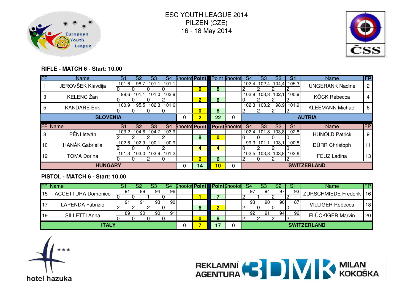



#### **RIFLE - MATCH 6 - Start: 10.00**

| <b>FP</b>       | Name                   | S1             | S2             | S3             | S4    | <b>Bhootof Point</b> |                         |    | Point <b>Bhootof</b> | S4             | S3             | S2             | S1                     | <b>Name</b>             | FP             |
|-----------------|------------------------|----------------|----------------|----------------|-------|----------------------|-------------------------|----|----------------------|----------------|----------------|----------------|------------------------|-------------------------|----------------|
|                 | JEROVŠEK Klavdija      | 101,6          | 98,7           | 101,1          | 101,1 |                      | $\overline{\mathbf{0}}$ | 8  |                      | 102,4          |                |                | 102,4 104,4 105,3      | <b>UNGERANK Nadine</b>  | $\overline{2}$ |
| 3               | KELENC Žan             | 99,6           | 101            | $1,1$ 101,0    | 103,9 |                      | $\overline{2}$          | 6  |                      | 102,8          |                | 103,3 102,1    | 100,9                  | <b>KÖCK Rebecca</b>     | 4              |
| 5               | <b>KANDARE Erik</b>    | 100,9          |                | $95,5$ 102,3   | 101,6 |                      | 0                       | 8  |                      | 102,3          | 103,2          |                | 98,9 101,9             | <b>KLEEMANN Michael</b> | -6             |
| <b>SLOVENIA</b> |                        |                |                |                |       | 0                    | $\overline{2}$          | 22 |                      |                | <b>AUTRIA</b>  |                |                        |                         |                |
|                 | FP Name                | S <sub>1</sub> | S <sub>2</sub> | S <sub>3</sub> | S4    | <b>Shootof Point</b> |                         |    | <b>Point</b> Bhootof | S <sub>4</sub> | S <sub>3</sub> | S <sub>2</sub> | S <sub>1</sub>         | <b>Name</b>             | <b>FP</b>      |
| 8               | PÉNI István            | 103,2          |                | 104,6 104,7    | 103,9 |                      | 8                       | 0  |                      | 102,4          |                |                | 101,8 103,8 102,8      | <b>HUNOLD Patrick</b>   | 9              |
| 10              | <b>HANÁK Gabriella</b> | 102,6          |                | 102,9 100,1    | 100,9 |                      | 4                       | 4  |                      |                |                |                | 99,3 101,1 103,1 100,8 | DÜRR Christoph          | 11             |
| 12              | <b>TOMA Dorina</b>     | 101,3          | 103,0          | 103,9          | 101,2 |                      | $\overline{2}$          | 6  |                      | 102,5          |                |                | 103,8 103,8 103,6      | FEUZ Ladina             | 13             |
|                 | <b>HUNGARY</b>         |                |                |                |       | 0                    | 14                      | 10 | 0                    |                |                |                |                        | <b>SWITZERLAND</b>      |                |

#### **PISTOL - MATCH 6 - Start: 10.00**

|              | <b>FP</b> Name            | o. | 52              |      | 54  |  |    | <b>Bhootof Point Point Bhootof</b> |    | S3                 |     | o. | Name                      | FP |
|--------------|---------------------------|----|-----------------|------|-----|--|----|------------------------------------|----|--------------------|-----|----|---------------------------|----|
| 15           | <b>ACCETTURA Domenico</b> |    | 89 I            | 94   | 96I |  |    |                                    | 97 | 94.                | 97  | 93 | ZURSCHMIEDE Frederik   16 |    |
|              |                           |    |                 |      |     |  |    |                                    |    |                    |     |    |                           |    |
| .17          | <b>LAPENDA Fabrizio</b>   |    |                 | -931 | 90I |  |    |                                    | 93 | 90 I               | 901 | 87 | <b>VILLIGER Rebecca</b>   | 18 |
|              |                           |    |                 |      |     |  |    |                                    |    |                    |     |    |                           |    |
| 19           | SILLETTI Anna             | 89 | 90 <sub>1</sub> | 90   | 91  |  |    |                                    | 92 |                    | 94  | 96 | <b>FLÜCKIGER Marvin</b>   | 20 |
|              |                           |    |                 |      |     |  |    |                                    |    |                    |     |    |                           |    |
| <b>ITALY</b> |                           |    |                 |      |     |  | 17 |                                    |    | <b>SWITZERLAND</b> |     |    |                           |    |



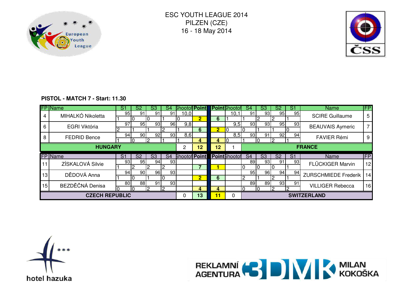



#### **PISTOL - MATCH 7 - Start: 11.30**

|                | <b>FP</b> Name      | -S1             | S2                       | S3                     | S4              | <b>Shootof Point</b> |                  |                      | <b>Point</b> Bhootof | S4                       | S3                     | S2             | S1              | <b>Name</b>                 | <b>IFP</b>            |
|----------------|---------------------|-----------------|--------------------------|------------------------|-----------------|----------------------|------------------|----------------------|----------------------|--------------------------|------------------------|----------------|-----------------|-----------------------------|-----------------------|
| 4              | MIHALKÓ Nikoletta   | 95              | 91                       | 91                     | 91              | 10,0                 |                  |                      | 10,1                 | 91                       | 93 <sub>l</sub>        | 95             | 95              | <b>SCIRE Guillaume</b>      | 5                     |
|                |                     |                 | I ( )                    |                        |                 |                      | $\overline{2}$ . | 6                    |                      |                          |                        |                |                 |                             |                       |
| 6              | EGRI Viktória       | 97              | 95 <sub>l</sub>          | 93                     | 96              | 9,8                  |                  |                      | 9,5                  | 93                       | 93 I                   | 95             | 93              | <b>BEAUVAIS Aymeric</b>     |                       |
|                |                     |                 |                          |                        |                 |                      | 6.               | $\overline{2}$       |                      |                          |                        |                |                 |                             |                       |
| 8              | <b>FEDRID Bence</b> | 94              | 90 <sub>l</sub>          | 92                     | 93              | 8,6                  |                  |                      | 8,5                  | 93                       | 91                     | 92             | 94              | <b>FAVIER Rémi</b>          | 9                     |
|                |                     |                 | ю                        |                        |                 |                      | Д.               | Д.                   |                      |                          |                        |                |                 |                             |                       |
| <b>HUNGARY</b> |                     |                 |                          |                        |                 |                      | 12               | 12                   |                      |                          | <b>FRANCE</b>          |                |                 |                             |                       |
|                | FP Name             | $\overline{S1}$ | $\overline{\mathsf{S2}}$ | $\overline{\text{S3}}$ | S <sub>4</sub>  | <b>Shootof Point</b> |                  | <b>Point</b> Bhootof |                      | $\overline{\mathsf{S}4}$ | $\overline{\text{S3}}$ | S <sub>2</sub> | $\overline{S1}$ | Name                        | <b>IFP</b>            |
|                |                     |                 |                          |                        |                 |                      |                  |                      |                      |                          |                        |                |                 |                             |                       |
|                |                     | 93              | 95 I                     | 94                     | 931             |                      |                  |                      |                      | 89                       | 93                     | 91             | 93              |                             |                       |
|                | ZÍSKALOVÁ Silvie    |                 |                          |                        |                 |                      |                  |                      |                      |                          |                        |                |                 | FLÜCKIGER Marvin            | 12 <sub>1</sub>       |
|                |                     | 94              | 90I                      | 96                     | 93              |                      |                  |                      |                      | 95                       | 96                     | 94             | 94              |                             |                       |
| 13             | DĚDOVÁ Anna         |                 |                          |                        |                 |                      | $\overline{2}$   | 6                    |                      |                          |                        |                |                 | <b>ZURSCHMIEDE Frederik</b> |                       |
|                |                     | 80              | 88                       | 91                     | 93 <sub>l</sub> |                      |                  |                      |                      | 89                       | 89                     | 93             | 91              |                             |                       |
| 15             | BEZDĚČNÁ Denisa     |                 | Ю                        | l2                     |                 |                      | 4                | 4                    |                      |                          |                        | 12             | ŋ               | <b>VILLIGER Rebecca</b>     | 14 <sup>1</sup><br>16 |